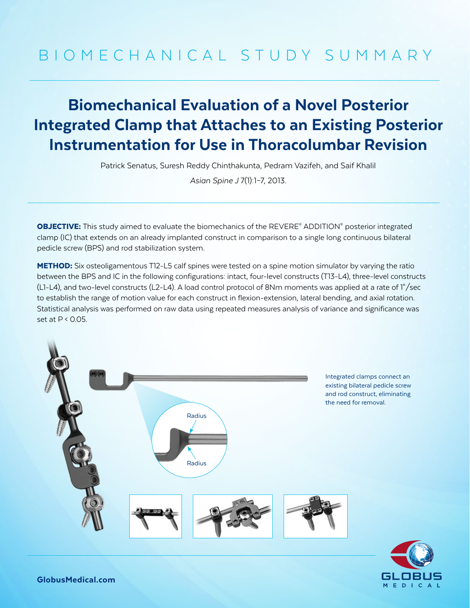# BIOMECHANICAL STUDY SUMMARY

## Biomechanical Evaluation of a Novel Posterior Integrated Clamp that Attaches to an Existing Posterior Instrumentation for Use in Thoracolumbar Revision

Patrick Senatus, Suresh Reddy Chinthakunta, Pedram Vazifeh, and Saif Khalil

*Asian Spine J* 7(1):1–7, 2013.

**OBJECTIVE:** This study aimed to evaluate the biomechanics of the REVERE<sup>®</sup> ADDITION<sup>®</sup> posterior integrated clamp (IC) that extends on an already implanted construct in comparison to a single long continuous bilateral pedicle screw (BPS) and rod stabilization system.

METHOD: Six osteoligamentous T12-L5 calf spines were tested on a spine motion simulator by varying the ratio between the BPS and IC in the following configurations: intact, four-level constructs (T13-L4), three-level constructs (L1-L4), and two-level constructs (L2-L4). A load control protocol of 8Nm moments was applied at a rate of 1°/sec to establish the range of motion value for each construct in flexion-extension, lateral bending, and axial rotation. Statistical analysis was performed on raw data using repeated measures analysis of variance and significance was set at  $P < 0.05$ .



Integrated clamps connect an existing bilateral pedicle screw and rod construct, eliminating the need for removal.



GlobusMedical.com